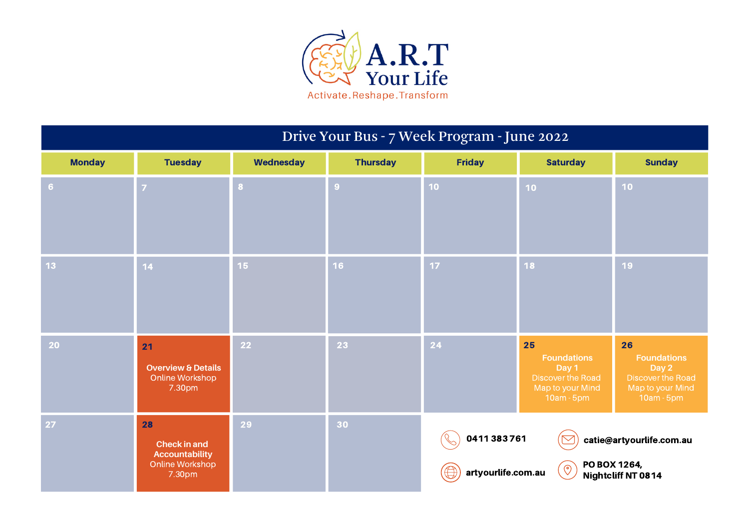

## Drive Your Bus - 7 Week Program - June 2022

| <b>Monday</b>  | <b>Tuesday</b>                                                                  | Wednesday       | <b>Thursday</b> | <b>Friday</b>                    | <b>Saturday</b>                                                                          | <b>Sunday</b>                                                                                   |
|----------------|---------------------------------------------------------------------------------|-----------------|-----------------|----------------------------------|------------------------------------------------------------------------------------------|-------------------------------------------------------------------------------------------------|
| 6 <sup>1</sup> | $\mathbf{7}$                                                                    | $\bf{8}$        | 9 <sup>°</sup>  | 10 <sub>1</sub>                  | 10 <sub>1</sub>                                                                          | 10                                                                                              |
| 13             | 14 <sup>°</sup>                                                                 | 15 <sub>1</sub> | 16 <sup>°</sup> | 17 <sub>2</sub>                  | 18                                                                                       | 19                                                                                              |
| 20             | 21<br><b>Overview &amp; Details</b><br>Online Workshop<br>7.30pm                | 22              | 23              | 24                               | 25<br><b>Foundations</b><br>Day 1<br>Discover the Road<br>Map to your Mind<br>10am - 5pm | 26<br><b>Foundations</b><br>Day 2<br><b>Discover the Road</b><br>Map to your Mind<br>10am - 5pm |
| 27             | 28<br><b>Check in and</b><br><b>Accountability</b><br>Online Workshop<br>7.30pm | 29              | 30              | 0411383761<br>artyourlife.com.au | PO BOX 1264,<br>$\left( \circ \right)$                                                   | catie@artyourlife.com.au<br>Nightcliff NT 0814                                                  |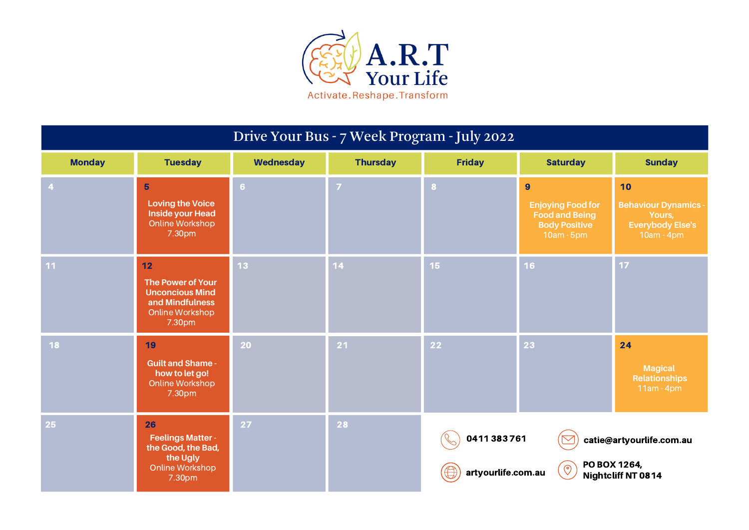

## Drive Your Bus - 7 Week Program - July 2022

| <b>Monday</b>  | <b>Tuesday</b>                                                                                           | Wednesday      | <b>Thursday</b> | <b>Friday</b>                    | <b>Saturday</b>                                                                                           | <b>Sunday</b>                                                                        |
|----------------|----------------------------------------------------------------------------------------------------------|----------------|-----------------|----------------------------------|-----------------------------------------------------------------------------------------------------------|--------------------------------------------------------------------------------------|
| $\overline{4}$ | $5\phantom{1}$<br><b>Loving the Voice</b><br><b>Inside your Head</b><br>Online Workshop<br>7.30pm        | $6\phantom{a}$ | $\overline{7}$  | 8                                | $\overline{9}$<br><b>Enjoying Food for</b><br><b>Food and Being</b><br><b>Body Positive</b><br>10am - 5pm | 10<br><b>Behaviour Dynamics -</b><br>Yours,<br><b>Everybody Else's</b><br>10am - 4pm |
| 11             | 12<br><b>The Power of Your</b><br><b>Unconcious Mind</b><br>and Mindfulness<br>Online Workshop<br>7.30pm | 13             | 14              | 15 <sub>1</sub>                  | 16                                                                                                        | 17                                                                                   |
| <b>18</b>      | 19<br><b>Guilt and Shame -</b><br>how to let go!<br>Online Workshop<br>7.30pm                            | 20             | $21$            | 22                               | 23                                                                                                        | 24<br><b>Magical</b><br><b>Relationships</b><br>$11am - 4pm$                         |
| 25             | 26<br><b>Feelings Matter -</b><br>the Good, the Bad,<br>the Ugly<br>Online Workshop<br>7.30pm            | 27             | 28              | 0411383761<br>artyourlife.com.au | PO BOX 1264,<br>$\Theta$                                                                                  | catie@artyourlife.com.au<br><b>Nightcliff NT 0814</b>                                |